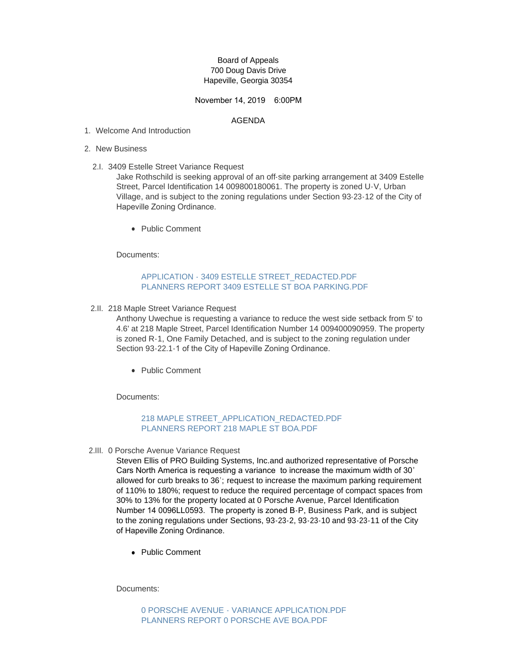## Board of Appeals 700 Doug Davis Drive Hapeville, Georgia 30354

## November 14, 2019 6:00PM

#### AGENDA

- Welcome And Introduction 1.
- 2. New Business
	- 3409 Estelle Street Variance Request 2.I.

Jake Rothschild is seeking approval of an off-site parking arrangement at 3409 Estelle Street, Parcel Identification 14 009800180061. The property is zoned U-V, Urban Village, and is subject to the zoning regulations under Section 93-23-12 of the City of Hapeville Zoning Ordinance.

• Public Comment

Documents:

# [APPLICATION - 3409 ESTELLE STREET\\_REDACTED.PDF](http://www.hapeville.org/AgendaCenter/ViewFile/Item/5725?fileID=2694) [PLANNERS REPORT 3409 ESTELLE ST BOA PARKING.PDF](http://www.hapeville.org/AgendaCenter/ViewFile/Item/5725?fileID=2707)

2.II. 218 Maple Street Variance Request

Anthony Uwechue is requesting a variance to reduce the west side setback from 5' to 4.6' at 218 Maple Street, Parcel Identification Number 14 009400090959. The property is zoned R-1, One Family Detached, and is subject to the zoning regulation under Section 93-22.1-1 of the City of Hapeville Zoning Ordinance.

• Public Comment

Documents:

### [218 MAPLE STREET\\_APPLICATION\\_REDACTED.PDF](http://www.hapeville.org/AgendaCenter/ViewFile/Item/5724?fileID=2697) [PLANNERS REPORT 218 MAPLE ST BOA.PDF](http://www.hapeville.org/AgendaCenter/ViewFile/Item/5724?fileID=2706)

2.III. 0 Porsche Avenue Variance Request

Steven Ellis of PRO Building Systems, Inc.and authorized representative of Porsche Cars North America is requesting a variance to increase the maximum width of 30' allowed for curb breaks to 36'; request to increase the maximum parking requirement of 110% to 180%; request to reduce the required percentage of compact spaces from 30% to 13% for the property located at 0 Porsche Avenue, Parcel Identification Number 14 0096LL0593. The property is zoned B-P, Business Park, and is subject to the zoning regulations under Sections, 93-23-2, 93-23-10 and 93-23-11 of the City of Hapeville Zoning Ordinance.

• Public Comment

Documents: